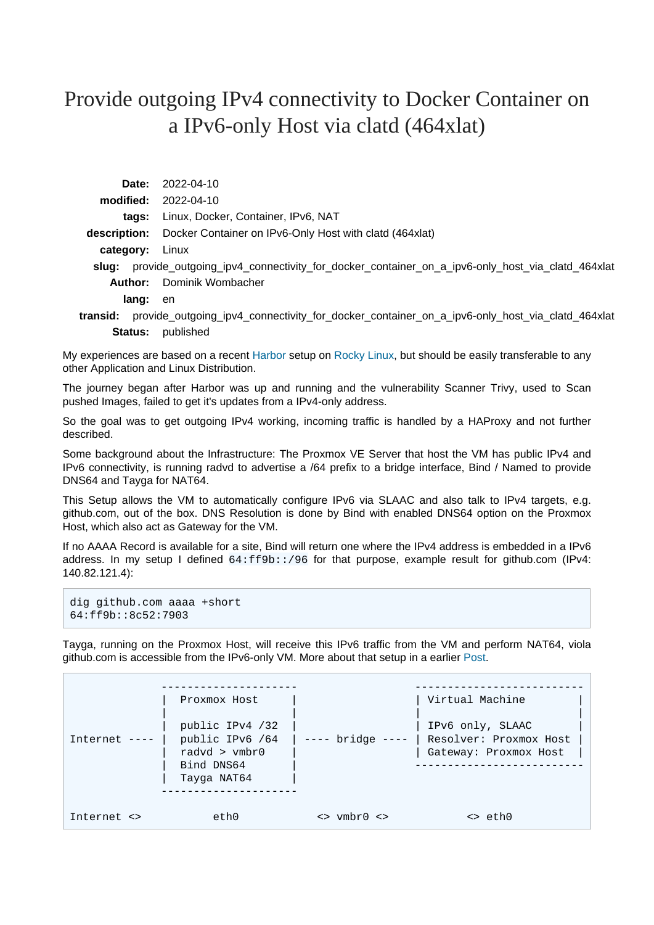## Provide outgoing IPv4 connectivity to Docker Container on a IPv6-only Host via clatd (464xlat)

|                 | <b>Date:</b> 2022-04-10                                                                             |  |  |
|-----------------|-----------------------------------------------------------------------------------------------------|--|--|
|                 | $model: 2022-04-10$                                                                                 |  |  |
|                 | tags: Linux, Docker, Container, IPv6, NAT                                                           |  |  |
|                 | <b>description:</b> Docker Container on IPv6-Only Host with clatd (464xlat)                         |  |  |
| category: Linux |                                                                                                     |  |  |
|                 | slug: provide_outgoing_ipv4_connectivity_for_docker_container_on_a_ipv6-only_host_via_clatd_464xlat |  |  |
|                 | <b>Author:</b> Dominik Wombacher                                                                    |  |  |
| lang:           | en                                                                                                  |  |  |
|                 |                                                                                                     |  |  |

**transid:** provide\_outgoing\_ipv4\_connectivity\_for\_docker\_container\_on\_a\_ipv6-only\_host\_via\_clatd\_464xlat **Status:** published

My experiences are based on a recent [Harbor](https://goharbor.io) setup on [Rocky Linux,](https://rockylinux.org) but should be easily transferable to any other Application and Linux Distribution.

The journey began after Harbor was up and running and the vulnerability Scanner Trivy, used to Scan pushed Images, failed to get it's updates from a IPv4-only address.

So the goal was to get outgoing IPv4 working, incoming traffic is handled by a HAProxy and not further described.

Some background about the Infrastructure: The Proxmox VE Server that host the VM has public IPv4 and IPv6 connectivity, is running radvd to advertise a /64 prefix to a bridge interface, Bind / Named to provide DNS64 and Tayga for NAT64.

This Setup allows the VM to automatically configure IPv6 via SLAAC and also talk to IPv4 targets, e.g. github.com, out of the box. DNS Resolution is done by Bind with enabled DNS64 option on the Proxmox Host, which also act as Gateway for the VM.

If no AAAA Record is available for a site, Bind will return one where the IPv4 address is embedded in a IPv6 address. In my setup I defined  $64:ff9b::/96$  for that purpose, example result for github.com (IPv4: 140.82.121.4):

```
dig github.com aaaa +short
64:ff9b::8c52:7903
```
Tayga, running on the Proxmox Host, will receive this IPv6 traffic from the VM and perform NAT64, viola github.com is accessible from the IPv6-only VM. More about that setup in a earlier [Post](https://dominik.wombacher.cc/posts/proxmox_and_nat64_jool_seems_incompatible_with_pve_firewall_tayga_to_rescue.html).

|                     | Proxmox Host                                                                          |                                                                                       | Virtual Machine                                                     |
|---------------------|---------------------------------------------------------------------------------------|---------------------------------------------------------------------------------------|---------------------------------------------------------------------|
| Internet            | public IPv4 /32<br>public IPv6 /64<br>radyd $>$ vmbr $0$<br>Bind DNS64<br>Tayga NAT64 | $---$ bridge $---$                                                                    | IPv6 only, SLAAC<br>Resolver: Proxmox Host<br>Gateway: Proxmox Host |
| ethO<br>Internet <> |                                                                                       | $\left\langle \rangle$ vmbr $\left\langle \right\rangle$ $\left\langle \right\rangle$ | $\leftrightarrow$ eth $0$                                           |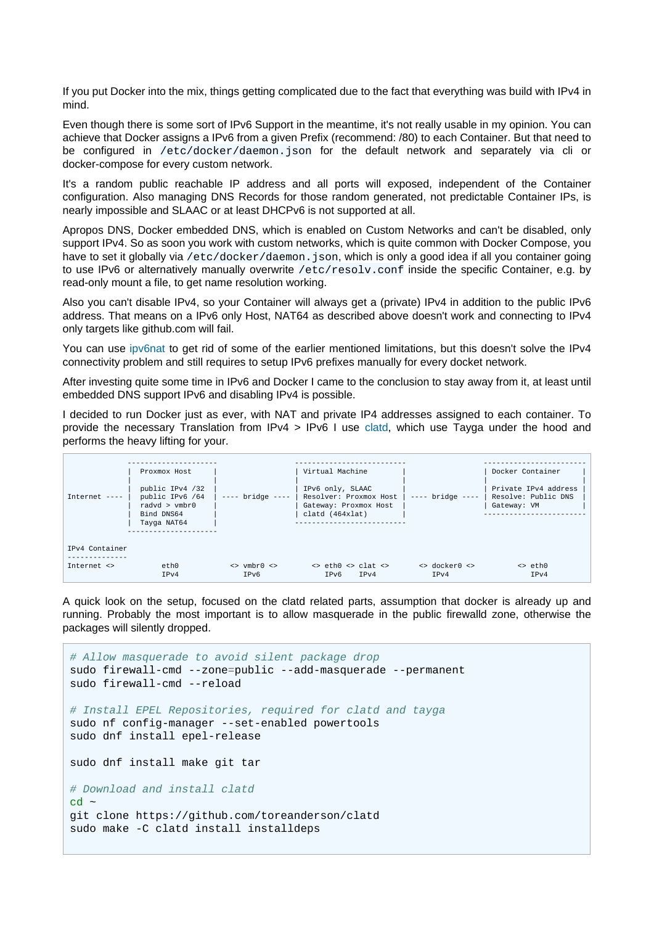If you put Docker into the mix, things getting complicated due to the fact that everything was build with IPv4 in mind.

Even though there is some sort of IPv6 Support in the meantime, it's not really usable in my opinion. You can achieve that Docker assigns a IPv6 from a given Prefix (recommend: /80) to each Container. But that need to be configured in /etc/docker/daemon.json for the default network and separately via cli or docker-compose for every custom network.

It's a random public reachable IP address and all ports will exposed, independent of the Container configuration. Also managing DNS Records for those random generated, not predictable Container IPs, is nearly impossible and SLAAC or at least DHCPv6 is not supported at all.

Apropos DNS, Docker embedded DNS, which is enabled on Custom Networks and can't be disabled, only support IPv4. So as soon you work with custom networks, which is quite common with Docker Compose, you have to set it globally via /etc/docker/daemon.json, which is only a good idea if all you container going to use IPv6 or alternatively manually overwrite /etc/resolv.conf inside the specific Container, e.g. by read-only mount a file, to get name resolution working.

Also you can't disable IPv4, so your Container will always get a (private) IPv4 in addition to the public IPv6 address. That means on a IPv6 only Host, NAT64 as described above doesn't work and connecting to IPv4 only targets like github.com will fail.

You can use [ipv6nat](https://github.com/robbertkl/docker-ipv6nat) to get rid of some of the earlier mentioned limitations, but this doesn't solve the IPv4 connectivity problem and still requires to setup IPv6 prefixes manually for every docket network.

After investing quite some time in IPv6 and Docker I came to the conclusion to stay away from it, at least until embedded DNS support IPv6 and disabling IPv4 is possible.

I decided to run Docker just as ever, with NAT and private IP4 addresses assigned to each container. To provide the necessary Translation from IPv4 > IPv6 I [use clatd](https://github.com/toreanderson/clatd), which use Tayga under the hood and performs the heavy lifting for your.

|                | Proxmox Host                                                                          |                                                                    | Virtual Machine                                                                        |                    | Docker Container                                           |
|----------------|---------------------------------------------------------------------------------------|--------------------------------------------------------------------|----------------------------------------------------------------------------------------|--------------------|------------------------------------------------------------|
| Internet $---$ | public IPv4 /32<br>public IPv6 /64<br>radyd $>$ vmbr $0$<br>Bind DNS64<br>Tayga NAT64 | $---$ bridge $---$                                                 | IPv6 only, SLAAC<br>Resolver: Proxmox Host<br>Gateway: Proxmox Host<br>clatd (464xlat) | $---$ bridge $---$ | Private IPv4 address<br>Resolve: Public DNS<br>Gateway: VM |
| IPv4 Container |                                                                                       |                                                                    |                                                                                        |                    |                                                            |
| Internet <>    | eth0                                                                                  | $\left\langle \rangle$ vmbr $\right  \left\langle \rangle \right $ | $\leftrightarrow$ eth $\theta \leftrightarrow$ clat $\leftrightarrow$                  | <> docker0 <>      | $\leftrightarrow$ eth $0$                                  |
|                | IPv4                                                                                  | IPv6                                                               | IPv6<br>TPv4                                                                           | IPv4               | IPv4                                                       |

A quick look on the setup, focused on the clatd related parts, assumption that docker is already up and running. Probably the most important is to allow masquerade in the public firewalld zone, otherwise the packages will silently dropped.

```
# Allow masquerade to avoid silent package drop
sudo firewall-cmd --zone=public --add-masquerade --permanent
sudo firewall-cmd --reload
# Install EPEL Repositories, required for clatd and tayga
sudo nf config-manager --set-enabled powertools
sudo dnf install epel-release
sudo dnf install make git tar
# Download and install clatd
\sim bp
git clone https://github.com/toreanderson/clatd
sudo make -C clatd install installdeps
```